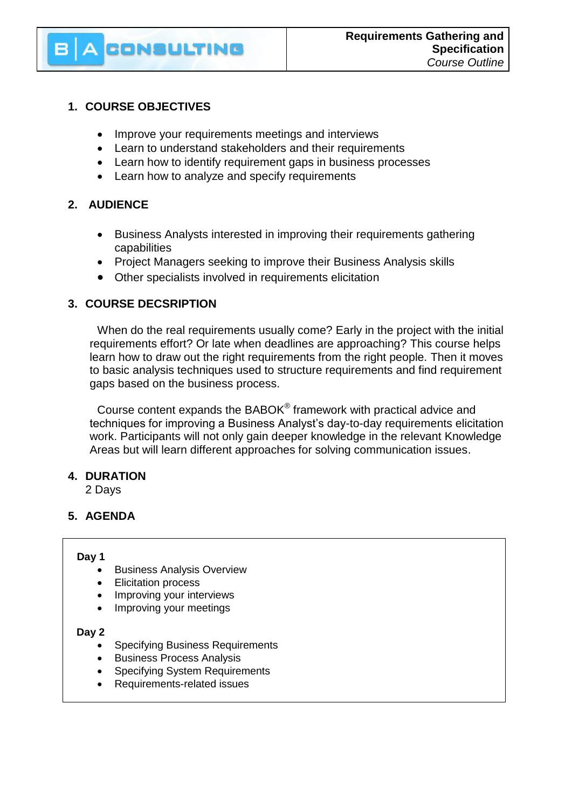# **CONSULTING**

# **1. COURSE OBJECTIVES**

- Improve your requirements meetings and interviews
- Learn to understand stakeholders and their requirements
- Learn how to identify requirement gaps in business processes
- Learn how to analyze and specify requirements

# **2. AUDIENCE**

- Business Analysts interested in improving their requirements gathering capabilities
- Project Managers seeking to improve their Business Analysis skills
- Other specialists involved in requirements elicitation

# **3. COURSE DECSRIPTION**

When do the real requirements usually come? Early in the project with the initial requirements effort? Or late when deadlines are approaching? This course helps learn how to draw out the right requirements from the right people. Then it moves to basic analysis techniques used to structure requirements and find requirement gaps based on the business process.

Course content expands the BABOK® framework with practical advice and techniques for improving a Business Analyst's day-to-day requirements elicitation work. Participants will not only gain deeper knowledge in the relevant Knowledge Areas but will learn different approaches for solving communication issues.

### **4. DURATION**

2 Days

# **5. AGENDA**

### **Day 1**

- Business Analysis Overview
- Elicitation process
- Improving your interviews
- Improving your meetings

### **Day 2**

- Specifying Business Requirements
- **•** Business Process Analysis
- Specifying System Requirements
- Requirements-related issues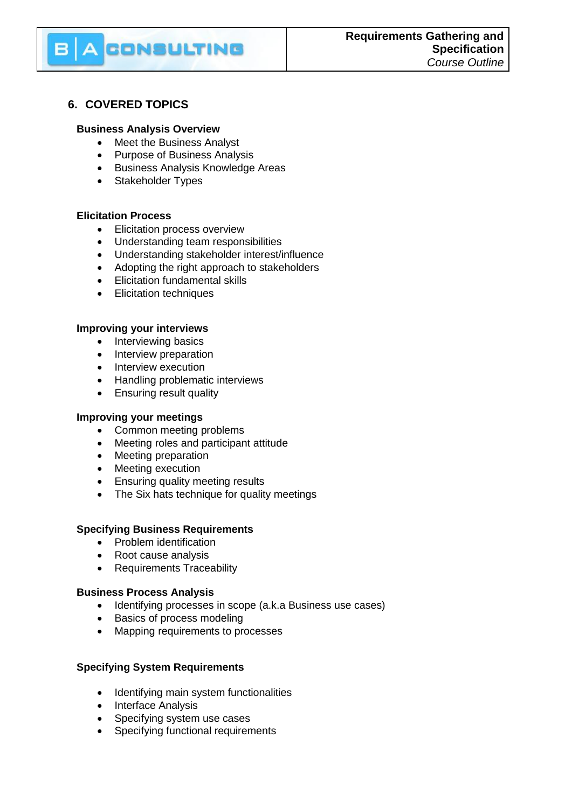# **6. COVERED TOPICS**

#### **Business Analysis Overview**

• Meet the Business Analyst

CONSULTING

- Purpose of Business Analysis
- **•** Business Analysis Knowledge Areas
- Stakeholder Types

### **Elicitation Process**

- Elicitation process overview
- Understanding team responsibilities
- Understanding stakeholder interest/influence
- Adopting the right approach to stakeholders
- Elicitation fundamental skills
- Elicitation techniques

#### **Improving your interviews**

- Interviewing basics
- Interview preparation
- Interview execution
- Handling problematic interviews
- Ensuring result quality

#### **Improving your meetings**

- Common meeting problems
- Meeting roles and participant attitude
- Meeting preparation
- Meeting execution
- Ensuring quality meeting results
- The Six hats technique for quality meetings

### **Specifying Business Requirements**

- Problem identification
- Root cause analysis
- Requirements Traceability

#### **Business Process Analysis**

- Identifying processes in scope (a.k.a Business use cases)
- Basics of process modeling
- Mapping requirements to processes

### **Specifying System Requirements**

- Identifying main system functionalities
- Interface Analysis
- Specifying system use cases
- Specifying functional requirements